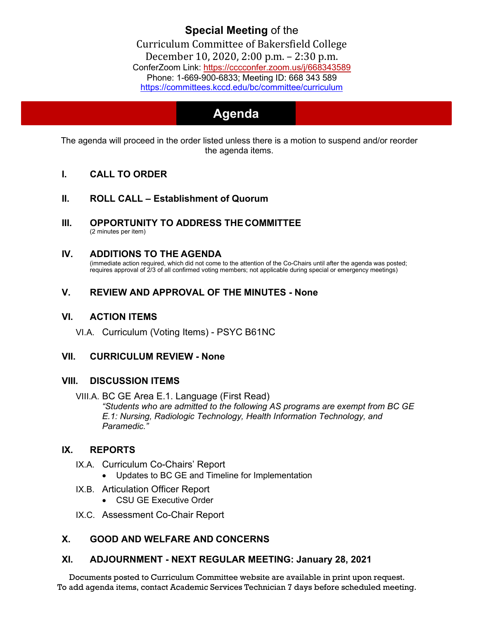### **Special Meeting** of the Curriculum Committee of Bakersfield College December 10, 2020, [2:00 p.m. –](https://cccconfer.zoom.us/j/668343589) 2:30 p.m. ConferZoom Link: https://cccconfer.zoom.us/j/668343589 [Phone: 1-669-900-6833; Meeting ID: 668 343 589](https://committees.kccd.edu/bc/committee/curriculum) <https://committees.kccd.edu/bc/committee/curriculum>

# **Agenda**

The agenda will proceed in the order listed unless there is a motion to suspend and/or reorder the agenda items.

- **I. CALL TO ORDER**
- **II. ROLL CALL – Establishment of Quorum**
- **III. OPPORTUNITY TO ADDRESS THE COMMITTEE** (2 minutes per item)
- **IV. ADDITIONS TO THE AGENDA** (immediate action required, which did not come to the attention of the Co-Chairs until after the agenda was posted; requires approval of 2/3 of all confirmed voting members; not applicable during special or emergency meetings)

# **V. REVIEW AND APPROVAL OF THE MINUTES - None**

#### **VI. ACTION ITEMS**

VI.A. Curriculum (Voting Items) - PSYC B61NC

## **VII. CURRICULUM REVIEW - None**

#### **VIII. DISCUSSION ITEMS**

VIII.A. BC GE Area E.1. Language (First Read) *"Students who are admitted to the following AS programs are exempt from BC GE E.1: Nursing, Radiologic Technology, Health Information Technology, and Paramedic."*

## **IX. REPORTS**

- IX.A. Curriculum Co-Chairs' Report
	- Updates to BC GE and Timeline for Implementation
- IX.B. Articulation Officer Report
	- CSU GE Executive Order
- IX.C. Assessment Co-Chair Report

# **X. GOOD AND WELFARE AND CONCERNS**

## **XI. ADJOURNMENT - NEXT REGULAR MEETING: January 28, 2021**

Documents posted to Curriculum Committee website are available in print upon request. To add agenda items, contact Academic Services Technician 7 days before scheduled meeting.